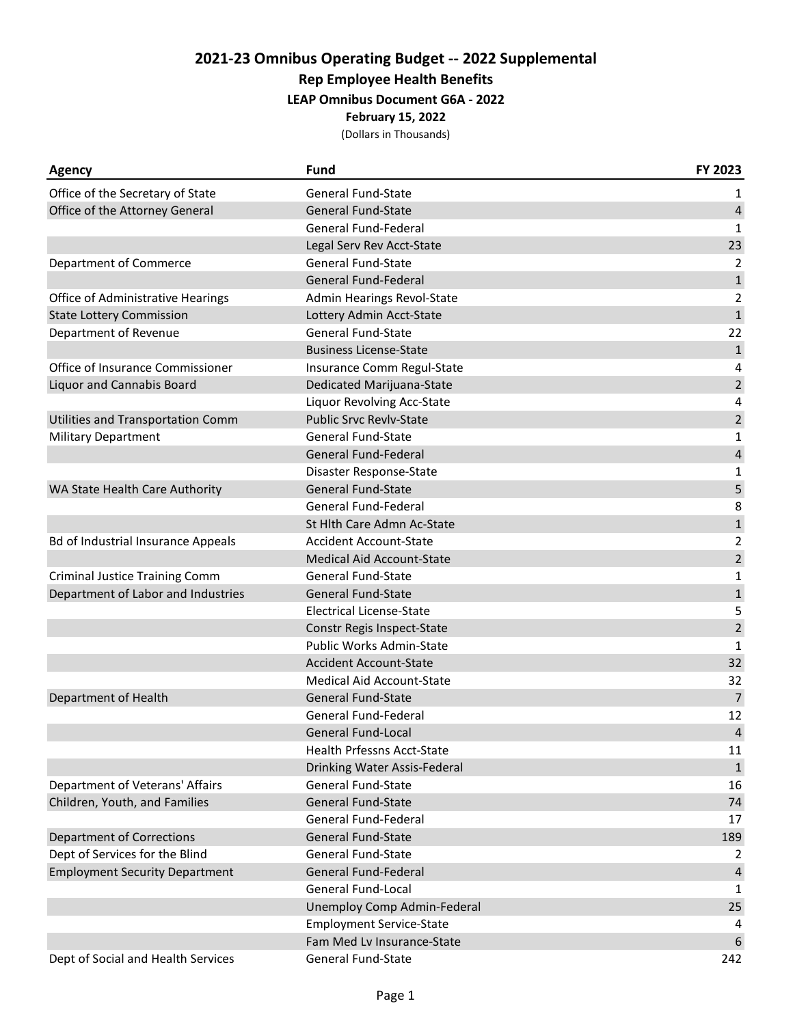## **2021-23 Omnibus Operating Budget -- 2022 Supplemental**

**Rep Employee Health Benefits**

**LEAP Omnibus Document G6A - 2022**

**February 15, 2022**

(Dollars in Thousands)

| <b>Agency</b>                             | Fund                               | FY 2023        |
|-------------------------------------------|------------------------------------|----------------|
| Office of the Secretary of State          | <b>General Fund-State</b>          | 1              |
| Office of the Attorney General            | <b>General Fund-State</b>          | $\overline{4}$ |
|                                           | General Fund-Federal               | 1              |
|                                           | Legal Serv Rev Acct-State          | 23             |
| Department of Commerce                    | <b>General Fund-State</b>          | 2              |
|                                           | <b>General Fund-Federal</b>        | $1\,$          |
| Office of Administrative Hearings         | Admin Hearings Revol-State         | $\overline{2}$ |
| <b>State Lottery Commission</b>           | Lottery Admin Acct-State           | $\mathbf 1$    |
| Department of Revenue                     | <b>General Fund-State</b>          | 22             |
|                                           | <b>Business License-State</b>      | $1\,$          |
| Office of Insurance Commissioner          | Insurance Comm Regul-State         | 4              |
| <b>Liquor and Cannabis Board</b>          | Dedicated Marijuana-State          | $\overline{2}$ |
|                                           | Liquor Revolving Acc-State         | 4              |
| Utilities and Transportation Comm         | <b>Public Srvc Revlv-State</b>     | $\overline{c}$ |
| <b>Military Department</b>                | <b>General Fund-State</b>          | $\mathbf{1}$   |
|                                           | <b>General Fund-Federal</b>        | 4              |
|                                           | Disaster Response-State            | $\mathbf{1}$   |
| WA State Health Care Authority            | <b>General Fund-State</b>          | 5              |
|                                           | General Fund-Federal               | 8              |
|                                           | St Hlth Care Admn Ac-State         | $\mathbf{1}$   |
| <b>Bd of Industrial Insurance Appeals</b> | <b>Accident Account-State</b>      | $\overline{2}$ |
|                                           | Medical Aid Account-State          | $\overline{2}$ |
| <b>Criminal Justice Training Comm</b>     | <b>General Fund-State</b>          | $\mathbf{1}$   |
| Department of Labor and Industries        | <b>General Fund-State</b>          | $\mathbf 1$    |
|                                           | <b>Electrical License-State</b>    | 5              |
|                                           | Constr Regis Inspect-State         | $\overline{2}$ |
|                                           | Public Works Admin-State           | 1              |
|                                           | <b>Accident Account-State</b>      | 32             |
|                                           | <b>Medical Aid Account-State</b>   | 32             |
| Department of Health                      | <b>General Fund-State</b>          | $\overline{7}$ |
|                                           | General Fund-Federal               | 12             |
|                                           | <b>General Fund-Local</b>          | $\overline{4}$ |
|                                           | Health Prfessns Acct-State         | 11             |
|                                           | Drinking Water Assis-Federal       | $\mathbf{1}$   |
| Department of Veterans' Affairs           | General Fund-State                 | 16             |
| Children, Youth, and Families             | <b>General Fund-State</b>          | 74             |
|                                           | General Fund-Federal               | 17             |
| <b>Department of Corrections</b>          | <b>General Fund-State</b>          | 189            |
| Dept of Services for the Blind            | <b>General Fund-State</b>          | 2              |
| <b>Employment Security Department</b>     | General Fund-Federal               | 4              |
|                                           | General Fund-Local                 | 1              |
|                                           | <b>Unemploy Comp Admin-Federal</b> | 25             |
|                                           | <b>Employment Service-State</b>    | 4              |
|                                           | Fam Med Lv Insurance-State         | 6              |
| Dept of Social and Health Services        | <b>General Fund-State</b>          | 242            |